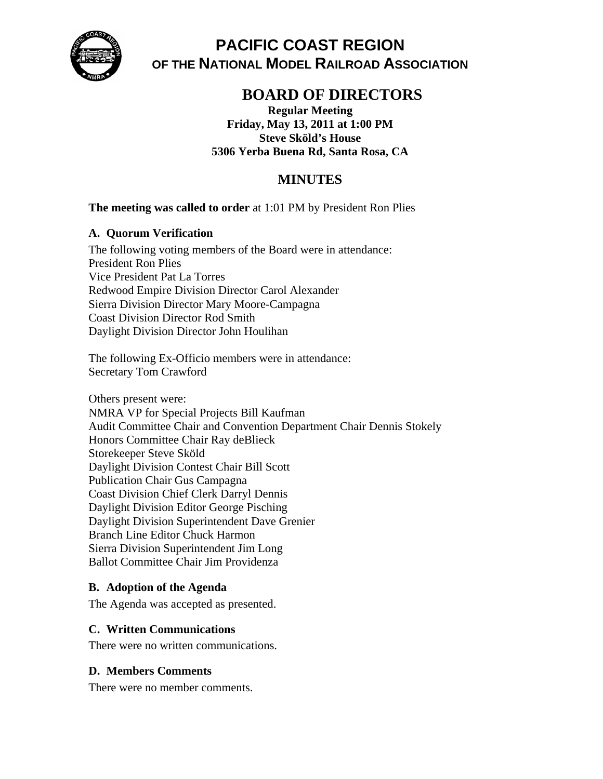

**PACIFIC COAST REGION OF THE NATIONAL MODEL RAILROAD ASSOCIATION** 

# **BOARD OF DIRECTORS**

**Regular Meeting Friday, May 13, 2011 at 1:00 PM Steve Sköld's House 5306 Yerba Buena Rd, Santa Rosa, CA** 

# **MINUTES**

### **The meeting was called to order** at 1:01 PM by President Ron Plies

### **A. Quorum Verification**

The following voting members of the Board were in attendance: President Ron Plies Vice President Pat La Torres Redwood Empire Division Director Carol Alexander Sierra Division Director Mary Moore-Campagna Coast Division Director Rod Smith Daylight Division Director John Houlihan

The following Ex-Officio members were in attendance: Secretary Tom Crawford

Others present were: NMRA VP for Special Projects Bill Kaufman Audit Committee Chair and Convention Department Chair Dennis Stokely Honors Committee Chair Ray deBlieck Storekeeper Steve Sköld Daylight Division Contest Chair Bill Scott Publication Chair Gus Campagna Coast Division Chief Clerk Darryl Dennis Daylight Division Editor George Pisching Daylight Division Superintendent Dave Grenier Branch Line Editor Chuck Harmon Sierra Division Superintendent Jim Long Ballot Committee Chair Jim Providenza

### **B. Adoption of the Agenda**

The Agenda was accepted as presented.

### **C. Written Communications**

There were no written communications.

### **D. Members Comments**

There were no member comments.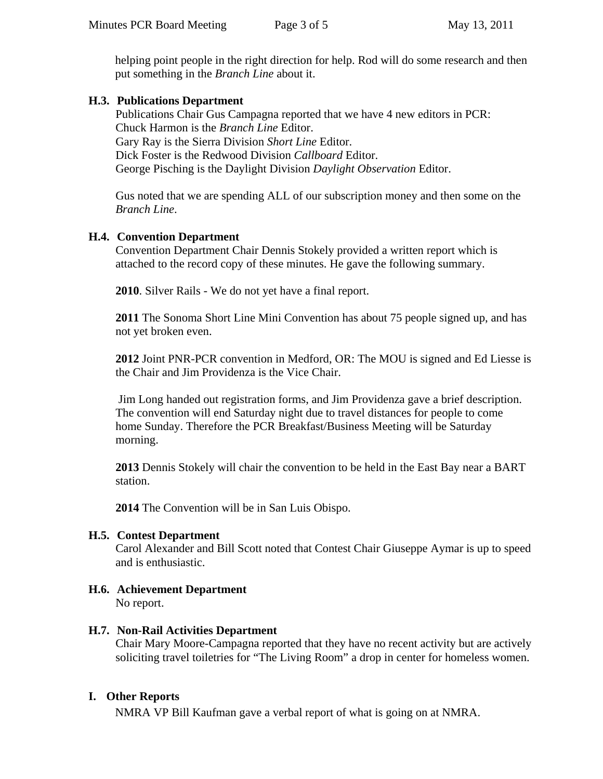helping point people in the right direction for help. Rod will do some research and then put something in the *Branch Line* about it.

### **H.3. Publications Department**

Publications Chair Gus Campagna reported that we have 4 new editors in PCR: Chuck Harmon is the *Branch Line* Editor. Gary Ray is the Sierra Division *Short Line* Editor. Dick Foster is the Redwood Division *Callboard* Editor. George Pisching is the Daylight Division *Daylight Observation* Editor.

Gus noted that we are spending ALL of our subscription money and then some on the *Branch Line*.

### **H.4. Convention Department**

Convention Department Chair Dennis Stokely provided a written report which is attached to the record copy of these minutes. He gave the following summary.

**2010**. Silver Rails - We do not yet have a final report.

**2011** The Sonoma Short Line Mini Convention has about 75 people signed up, and has not yet broken even.

**2012** Joint PNR-PCR convention in Medford, OR: The MOU is signed and Ed Liesse is the Chair and Jim Providenza is the Vice Chair.

 Jim Long handed out registration forms, and Jim Providenza gave a brief description. The convention will end Saturday night due to travel distances for people to come home Sunday. Therefore the PCR Breakfast/Business Meeting will be Saturday morning.

**2013** Dennis Stokely will chair the convention to be held in the East Bay near a BART station.

**2014** The Convention will be in San Luis Obispo.

### **H.5. Contest Department**

Carol Alexander and Bill Scott noted that Contest Chair Giuseppe Aymar is up to speed and is enthusiastic.

## **H.6. Achievement Department**

No report.

### **H.7. Non-Rail Activities Department**

Chair Mary Moore-Campagna reported that they have no recent activity but are actively soliciting travel toiletries for "The Living Room" a drop in center for homeless women.

## **I. Other Reports**

NMRA VP Bill Kaufman gave a verbal report of what is going on at NMRA.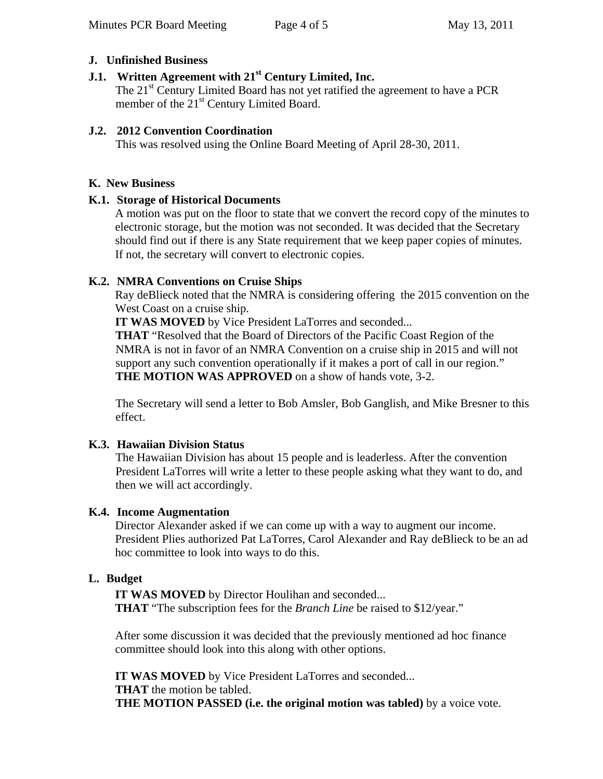### **J. Unfinished Business**

# **J.1. Written Agreement with 21st Century Limited, Inc.**

The 21<sup>st</sup> Century Limited Board has not yet ratified the agreement to have a PCR member of the 21<sup>st</sup> Century Limited Board.

### **J.2. 2012 Convention Coordination**

This was resolved using the Online Board Meeting of April 28-30, 2011.

### **K. New Business**

### **K.1. Storage of Historical Documents**

A motion was put on the floor to state that we convert the record copy of the minutes to electronic storage, but the motion was not seconded. It was decided that the Secretary should find out if there is any State requirement that we keep paper copies of minutes. If not, the secretary will convert to electronic copies.

### **K.2. NMRA Conventions on Cruise Ships**

Ray deBlieck noted that the NMRA is considering offering the 2015 convention on the West Coast on a cruise ship.

**IT WAS MOVED** by Vice President LaTorres and seconded...

**THAT** "Resolved that the Board of Directors of the Pacific Coast Region of the NMRA is not in favor of an NMRA Convention on a cruise ship in 2015 and will not support any such convention operationally if it makes a port of call in our region." **THE MOTION WAS APPROVED** on a show of hands vote, 3-2.

The Secretary will send a letter to Bob Amsler, Bob Ganglish, and Mike Bresner to this effect.

### **K.3. Hawaiian Division Status**

The Hawaiian Division has about 15 people and is leaderless. After the convention President LaTorres will write a letter to these people asking what they want to do, and then we will act accordingly.

## **K.4. Income Augmentation**

Director Alexander asked if we can come up with a way to augment our income. President Plies authorized Pat LaTorres, Carol Alexander and Ray deBlieck to be an ad hoc committee to look into ways to do this.

## **L. Budget**

**IT WAS MOVED** by Director Houlihan and seconded... **THAT** "The subscription fees for the *Branch Line* be raised to \$12/year."

After some discussion it was decided that the previously mentioned ad hoc finance committee should look into this along with other options.

**IT WAS MOVED** by Vice President LaTorres and seconded...

**THAT** the motion be tabled.

**THE MOTION PASSED (i.e. the original motion was tabled)** by a voice vote.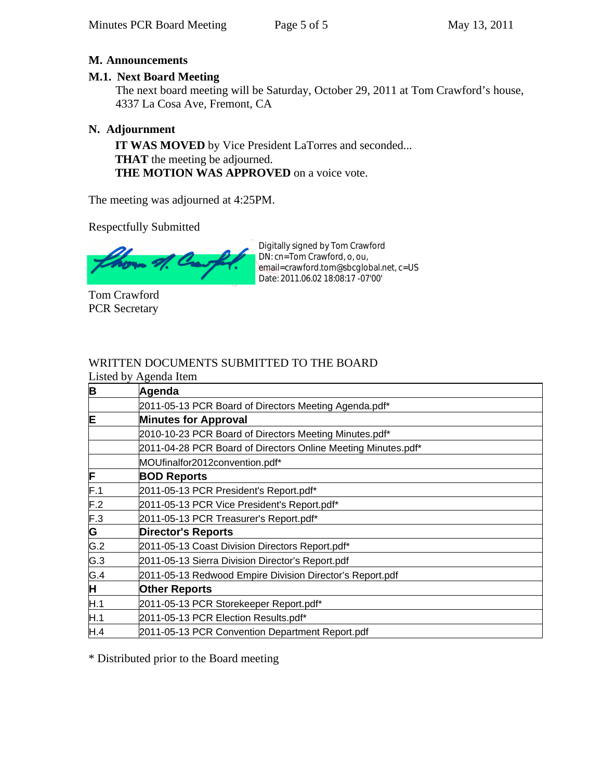### **M. Announcements**

### **M.1. Next Board Meeting**

The next board meeting will be Saturday, October 29, 2011 at Tom Crawford's house, 4337 La Cosa Ave, Fremont, CA

## **N. Adjournment**

**IT WAS MOVED** by Vice President LaTorres and seconded... **THAT** the meeting be adjourned. **THE MOTION WAS APPROVED** on a voice vote.

The meeting was adjourned at 4:25PM.

Respectfully Submitted

Tom Crawford PCR Secretary

Digitally signed by Tom Crawford DN: cn=Tom Crawford, o, ou, email=crawford.tom@sbcglobal.net, c=US Date: 2011.06.02 18:08:17 -07'00'

# WRITTEN DOCUMENTS SUBMITTED TO THE BOARD

|                         | Listed by Agenda Item                                         |  |  |  |
|-------------------------|---------------------------------------------------------------|--|--|--|
| B                       | Agenda                                                        |  |  |  |
|                         | 2011-05-13 PCR Board of Directors Meeting Agenda.pdf*         |  |  |  |
| E                       | <b>Minutes for Approval</b>                                   |  |  |  |
|                         | 2010-10-23 PCR Board of Directors Meeting Minutes.pdf*        |  |  |  |
|                         | 2011-04-28 PCR Board of Directors Online Meeting Minutes.pdf* |  |  |  |
|                         | MOUfinalfor2012convention.pdf*                                |  |  |  |
| F                       | <b>BOD Reports</b>                                            |  |  |  |
| F.1                     | 2011-05-13 PCR President's Report.pdf*                        |  |  |  |
| F.2                     | 2011-05-13 PCR Vice President's Report.pdf*                   |  |  |  |
| F.3                     | 2011-05-13 PCR Treasurer's Report.pdf*                        |  |  |  |
| $\overline{\mathsf{G}}$ | <b>Director's Reports</b>                                     |  |  |  |
| G.2                     | 2011-05-13 Coast Division Directors Report.pdf*               |  |  |  |
| G.3                     | 2011-05-13 Sierra Division Director's Report.pdf              |  |  |  |
| G.4                     | 2011-05-13 Redwood Empire Division Director's Report.pdf      |  |  |  |
| H                       | <b>Other Reports</b>                                          |  |  |  |
| H.1                     | 2011-05-13 PCR Storekeeper Report.pdf*                        |  |  |  |
| H.1                     | 2011-05-13 PCR Election Results.pdf*                          |  |  |  |
| H.4                     | 2011-05-13 PCR Convention Department Report.pdf               |  |  |  |

\* Distributed prior to the Board meeting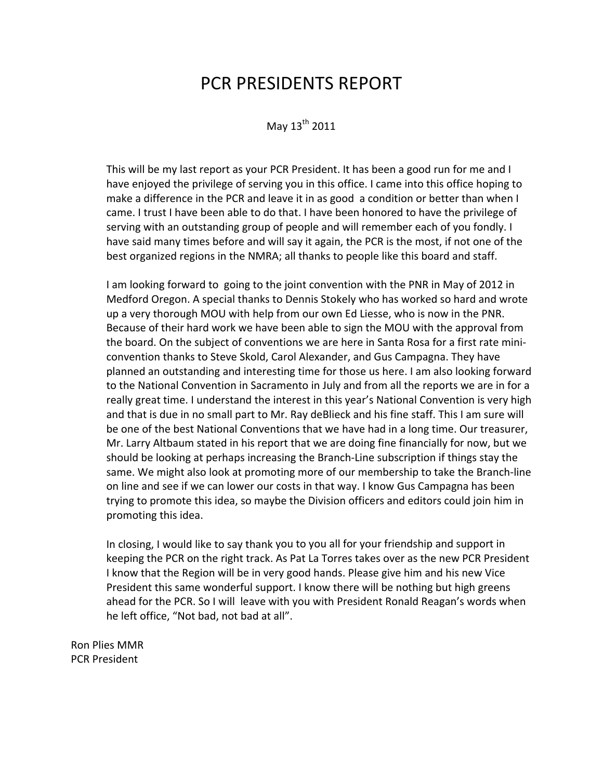# PCR PRESIDENTS REPORT

May  $13^{th}$  2011

This will be my last report as your PCR President. It has been a good run for me and I have enjoyed the privilege of serving you in this office. I came into this office hoping to make a difference in the PCR and leave it in as good a condition or better than when I came. I trust I have been able to do that. I have been honored to have the privilege of serving with an outstanding group of people and will remember each of you fondly. I have said many times before and will say it again, the PCR is the most, if not one of the best organized regions in the NMRA; all thanks to people like this board and staff.

I am looking forward to going to the joint convention with the PNR in May of 2012 in Medford Oregon. A special thanks to Dennis Stokely who has worked so hard and wrote up a very thorough MOU with help from our own Ed Liesse, who is now in the PNR. Because of their hard work we have been able to sign the MOU with the approval from the board. On the subject of conventions we are here in Santa Rosa for a first rate mini‐ convention thanks to Steve Skold, Carol Alexander, and Gus Campagna. They have planned an outstanding and interesting time for those us here. I am also looking forward to the National Convention in Sacramento in July and from all the reports we are in for a really great time. I understand the interest in this year's National Convention is very high and that is due in no small part to Mr. Ray deBlieck and his fine staff. This I am sure will be one of the best National Conventions that we have had in a long time. Our treasurer, Mr. Larry Altbaum stated in his report that we are doing fine financially for now, but we should be looking at perhaps increasing the Branch‐Line subscription if things stay the same. We might also look at promoting more of our membership to take the Branch‐line on line and see if we can lower our costs in that way. I know Gus Campagna has been trying to promote this idea, so maybe the Division officers and editors could join him in promoting this idea.

In closing, I would like to say thank you to you all for your friendship and support in keeping the PCR on the right track. As Pat La Torres takes over as the new PCR President I know that the Region will be in very good hands. Please give him and his new Vice President this same wonderful support. I know there will be nothing but high greens ahead for the PCR. So I will leave with you with President Ronald Reagan's words when he left office, "Not bad, not bad at all".

Ron Plies MMR PCR President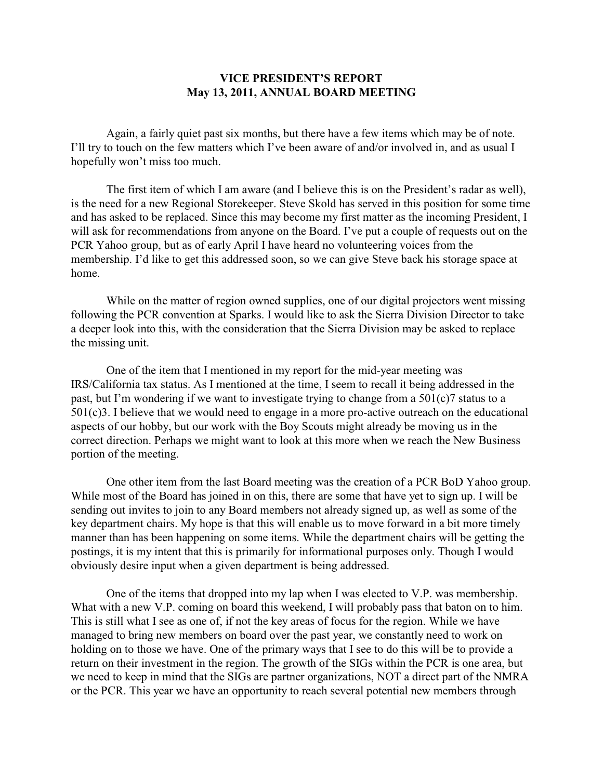### **VICE PRESIDENT'S REPORT May 13, 2011, ANNUAL BOARD MEETING**

Again, a fairly quiet past six months, but there have a few items which may be of note. I'll try to touch on the few matters which I've been aware of and/or involved in, and as usual I hopefully won't miss too much.

The first item of which I am aware (and I believe this is on the President's radar as well), is the need for a new Regional Storekeeper. Steve Skold has served in this position for some time and has asked to be replaced. Since this may become my first matter as the incoming President, I will ask for recommendations from anyone on the Board. I've put a couple of requests out on the PCR Yahoo group, but as of early April I have heard no volunteering voices from the membership. I'd like to get this addressed soon, so we can give Steve back his storage space at home.

While on the matter of region owned supplies, one of our digital projectors went missing following the PCR convention at Sparks. I would like to ask the Sierra Division Director to take a deeper look into this, with the consideration that the Sierra Division may be asked to replace the missing unit.

One of the item that I mentioned in my report for the mid-year meeting was IRS/California tax status. As I mentioned at the time, I seem to recall it being addressed in the past, but I'm wondering if we want to investigate trying to change from a 501(c)7 status to a 501(c)3. I believe that we would need to engage in a more pro-active outreach on the educational aspects of our hobby, but our work with the Boy Scouts might already be moving us in the correct direction. Perhaps we might want to look at this more when we reach the New Business portion of the meeting.

One other item from the last Board meeting was the creation of a PCR BoD Yahoo group. While most of the Board has joined in on this, there are some that have yet to sign up. I will be sending out invites to join to any Board members not already signed up, as well as some of the key department chairs. My hope is that this will enable us to move forward in a bit more timely manner than has been happening on some items. While the department chairs will be getting the postings, it is my intent that this is primarily for informational purposes only. Though I would obviously desire input when a given department is being addressed.

One of the items that dropped into my lap when I was elected to V.P. was membership. What with a new V.P. coming on board this weekend, I will probably pass that baton on to him. This is still what I see as one of, if not the key areas of focus for the region. While we have managed to bring new members on board over the past year, we constantly need to work on holding on to those we have. One of the primary ways that I see to do this will be to provide a return on their investment in the region. The growth of the SIGs within the PCR is one area, but we need to keep in mind that the SIGs are partner organizations, NOT a direct part of the NMRA or the PCR. This year we have an opportunity to reach several potential new members through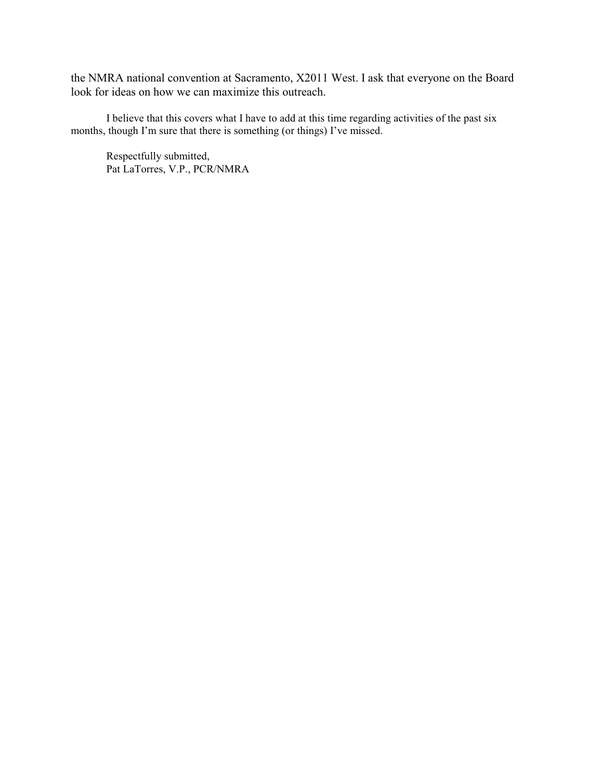the NMRA national convention at Sacramento, X2011 West. I ask that everyone on the Board look for ideas on how we can maximize this outreach.

I believe that this covers what I have to add at this time regarding activities of the past six months, though I'm sure that there is something (or things) I've missed.

Respectfully submitted, Pat LaTorres, V.P., PCR/NMRA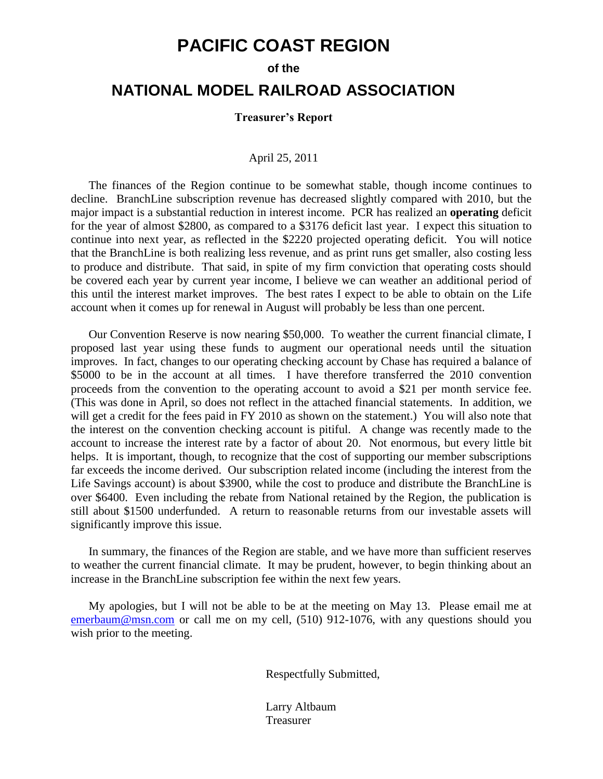# **PACIFIC COAST REGION**

#### **of the**

# **NATIONAL MODEL RAILROAD ASSOCIATION**

#### **Treasurer's Report**

### April 25, 2011

The finances of the Region continue to be somewhat stable, though income continues to decline. BranchLine subscription revenue has decreased slightly compared with 2010, but the major impact is a substantial reduction in interest income. PCR has realized an **operating** deficit for the year of almost \$2800, as compared to a \$3176 deficit last year. I expect this situation to continue into next year, as reflected in the \$2220 projected operating deficit. You will notice that the BranchLine is both realizing less revenue, and as print runs get smaller, also costing less to produce and distribute. That said, in spite of my firm conviction that operating costs should be covered each year by current year income, I believe we can weather an additional period of this until the interest market improves. The best rates I expect to be able to obtain on the Life account when it comes up for renewal in August will probably be less than one percent.

Our Convention Reserve is now nearing \$50,000. To weather the current financial climate, I proposed last year using these funds to augment our operational needs until the situation improves. In fact, changes to our operating checking account by Chase has required a balance of \$5000 to be in the account at all times. I have therefore transferred the 2010 convention proceeds from the convention to the operating account to avoid a \$21 per month service fee. (This was done in April, so does not reflect in the attached financial statements. In addition, we will get a credit for the fees paid in FY 2010 as shown on the statement.) You will also note that the interest on the convention checking account is pitiful. A change was recently made to the account to increase the interest rate by a factor of about 20. Not enormous, but every little bit helps. It is important, though, to recognize that the cost of supporting our member subscriptions far exceeds the income derived. Our subscription related income (including the interest from the Life Savings account) is about \$3900, while the cost to produce and distribute the BranchLine is over \$6400. Even including the rebate from National retained by the Region, the publication is still about \$1500 underfunded. A return to reasonable returns from our investable assets will significantly improve this issue.

In summary, the finances of the Region are stable, and we have more than sufficient reserves to weather the current financial climate. It may be prudent, however, to begin thinking about an increase in the BranchLine subscription fee within the next few years.

My apologies, but I will not be able to be at the meeting on May 13. Please email me at [emerbaum@msn.com](mailto:emerbaum@msn.com) or call me on my cell, (510) 912-1076, with any questions should you wish prior to the meeting.

Respectfully Submitted,

Larry Altbaum Treasurer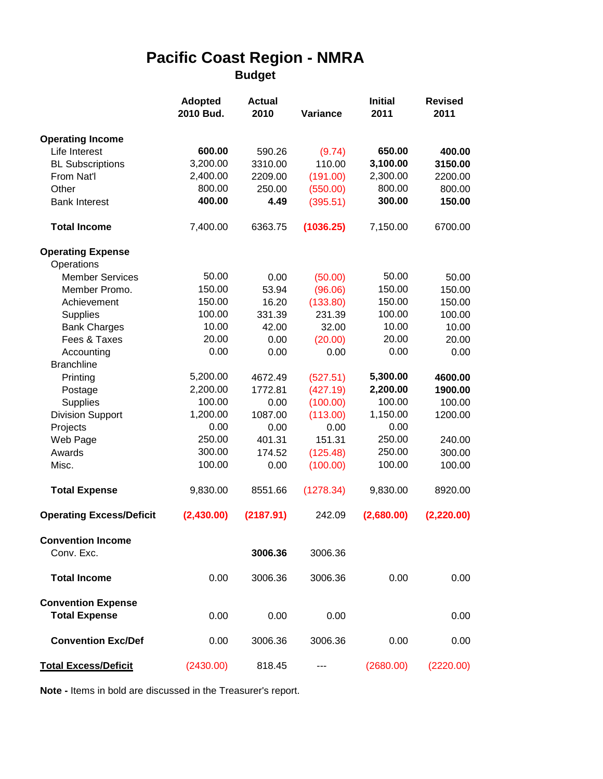# **Pacific Coast Region - NMRA**

**Budget**

|                                 | <b>Adopted</b><br>2010 Bud. | <b>Actual</b><br>2010 | Variance  | <b>Initial</b><br>2011 | <b>Revised</b><br>2011 |
|---------------------------------|-----------------------------|-----------------------|-----------|------------------------|------------------------|
| <b>Operating Income</b>         |                             |                       |           |                        |                        |
| Life Interest                   | 600.00                      | 590.26                | (9.74)    | 650.00                 | 400.00                 |
| <b>BL Subscriptions</b>         | 3,200.00                    | 3310.00               | 110.00    | 3,100.00               | 3150.00                |
| From Nat'l                      | 2,400.00                    | 2209.00               | (191.00)  | 2,300.00               | 2200.00                |
| Other                           | 800.00                      | 250.00                | (550.00)  | 800.00                 | 800.00                 |
| <b>Bank Interest</b>            | 400.00                      | 4.49                  | (395.51)  | 300.00                 | 150.00                 |
| <b>Total Income</b>             | 7,400.00                    | 6363.75               | (1036.25) | 7,150.00               | 6700.00                |
| <b>Operating Expense</b>        |                             |                       |           |                        |                        |
| Operations                      |                             |                       |           |                        |                        |
| <b>Member Services</b>          | 50.00                       | 0.00                  | (50.00)   | 50.00                  | 50.00                  |
| Member Promo.                   | 150.00                      | 53.94                 | (96.06)   | 150.00                 | 150.00                 |
| Achievement                     | 150.00                      | 16.20                 | (133.80)  | 150.00                 | 150.00                 |
| <b>Supplies</b>                 | 100.00                      | 331.39                | 231.39    | 100.00                 | 100.00                 |
| <b>Bank Charges</b>             | 10.00                       | 42.00                 | 32.00     | 10.00                  | 10.00                  |
| Fees & Taxes                    | 20.00                       | 0.00                  | (20.00)   | 20.00                  | 20.00                  |
| Accounting                      | 0.00                        | 0.00                  | 0.00      | 0.00                   | 0.00                   |
| <b>Branchline</b>               |                             |                       |           |                        |                        |
| Printing                        | 5,200.00                    | 4672.49               | (527.51)  | 5,300.00               | 4600.00                |
| Postage                         | 2,200.00                    | 1772.81               | (427.19)  | 2,200.00               | 1900.00                |
| <b>Supplies</b>                 | 100.00                      | 0.00                  | (100.00)  | 100.00                 | 100.00                 |
| <b>Division Support</b>         | 1,200.00                    | 1087.00               | (113.00)  | 1,150.00               | 1200.00                |
| Projects                        | 0.00                        | 0.00                  | 0.00      | 0.00                   |                        |
| Web Page<br>Awards              | 250.00<br>300.00            | 401.31                | 151.31    | 250.00<br>250.00       | 240.00                 |
|                                 |                             | 174.52                | (125.48)  |                        | 300.00                 |
| Misc.                           | 100.00                      | 0.00                  | (100.00)  | 100.00                 | 100.00                 |
| <b>Total Expense</b>            | 9,830.00                    | 8551.66               | (1278.34) | 9,830.00               | 8920.00                |
| <b>Operating Excess/Deficit</b> | (2,430.00)                  | (2187.91)             | 242.09    | (2,680.00)             | (2,220.00)             |
| <b>Convention Income</b>        |                             |                       |           |                        |                        |
| Conv. Exc.                      |                             | 3006.36               | 3006.36   |                        |                        |
| <b>Total Income</b>             | 0.00                        | 3006.36               | 3006.36   | 0.00                   | 0.00                   |
| <b>Convention Expense</b>       |                             |                       |           |                        |                        |
| <b>Total Expense</b>            | 0.00                        | 0.00                  | 0.00      |                        | 0.00                   |
| <b>Convention Exc/Def</b>       | 0.00                        | 3006.36               | 3006.36   | 0.00                   | 0.00                   |
| <b>Total Excess/Deficit</b>     | (2430.00)                   | 818.45                |           | (2680.00)              | (2220.00)              |

**Note -** Items in bold are discussed in the Treasurer's report.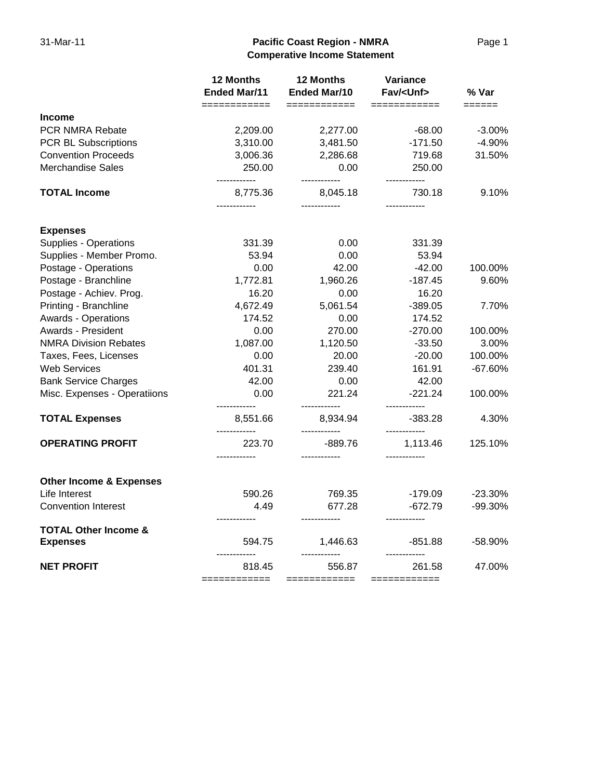### 31-Mar-11 **Pacific Coast Region - NMRA** Page 1 **Comperative Income Statement**

|                                                    | 12 Months<br><b>Ended Mar/11</b> | 12 Months<br><b>Ended Mar/10</b>         | Variance<br>Fav/ <unf></unf>           | % Var                   |
|----------------------------------------------------|----------------------------------|------------------------------------------|----------------------------------------|-------------------------|
| <b>Income</b>                                      | ============                     | $=$ ============                         |                                        | $=$ $=$ $=$ $=$ $=$ $=$ |
| PCR NMRA Rebate                                    | 2,209.00                         | 2,277.00                                 | -68.00                                 | $-3.00%$                |
| PCR BL Subscriptions                               | 3,310.00                         | 3,481.50                                 | $-171.50$                              | $-4.90%$                |
| <b>Convention Proceeds</b>                         | 3,006.36                         | 2,286.68                                 | 719.68                                 | 31.50%                  |
| <b>Merchandise Sales</b>                           | 250.00                           | 0.00                                     | 250.00                                 |                         |
| <b>TOTAL Income</b>                                | ------------<br>8,775.36<br>     | ------------<br>8,045.18<br>------------ | ------------<br>730.18<br>------------ | 9.10%                   |
| <b>Expenses</b>                                    |                                  |                                          |                                        |                         |
| Supplies - Operations                              | 331.39                           | 0.00                                     | 331.39                                 |                         |
| Supplies - Member Promo.                           | 53.94                            | 0.00                                     | 53.94                                  |                         |
| Postage - Operations                               | 0.00                             | 42.00                                    | $-42.00$                               | 100.00%                 |
| Postage - Branchline                               | 1,772.81                         | 1,960.26                                 | $-187.45$                              | 9.60%                   |
| Postage - Achiev. Prog.                            | 16.20                            | 0.00                                     | 16.20                                  |                         |
| Printing - Branchline                              | 4,672.49                         | 5,061.54                                 | $-389.05$                              | 7.70%                   |
| <b>Awards - Operations</b>                         | 174.52                           | 0.00                                     | 174.52                                 |                         |
| Awards - President                                 | 0.00                             | 270.00                                   | $-270.00$                              | 100.00%                 |
| <b>NMRA Division Rebates</b>                       | 1,087.00                         | 1,120.50                                 | $-33.50$                               | 3.00%                   |
| Taxes, Fees, Licenses                              | 0.00                             | 20.00                                    | $-20.00$                               | 100.00%                 |
| <b>Web Services</b>                                | 401.31                           | 239.40                                   | 161.91                                 | $-67.60%$               |
| <b>Bank Service Charges</b>                        | 42.00                            | 0.00                                     | 42.00                                  |                         |
| Misc. Expenses - Operatiions                       | 0.00<br>                         | 221.24<br>------------                   | $-221.24$                              | 100.00%                 |
| <b>TOTAL Expenses</b>                              | 8,551.66                         | 8,934.94                                 | -383.28<br>------------                | 4.30%                   |
| <b>OPERATING PROFIT</b>                            | 223.70<br>------------           | -889.76<br>------------                  | 1,113.46                               | 125.10%                 |
| <b>Other Income &amp; Expenses</b>                 |                                  |                                          |                                        |                         |
| Life Interest                                      | 590.26                           | 769.35                                   | $-179.09$                              | $-23.30%$               |
| <b>Convention Interest</b>                         | 4.49                             | 677.28                                   | $-672.79$                              | -99.30%                 |
| <b>TOTAL Other Income &amp;</b><br><b>Expenses</b> | 594.75                           | ------------<br>1,446.63                 | $-851.88$                              | -58.90%                 |
| <b>NET PROFIT</b>                                  | <br>818.45<br>============       | ------------<br>556.87<br>============   | 261.58<br>============                 | 47.00%                  |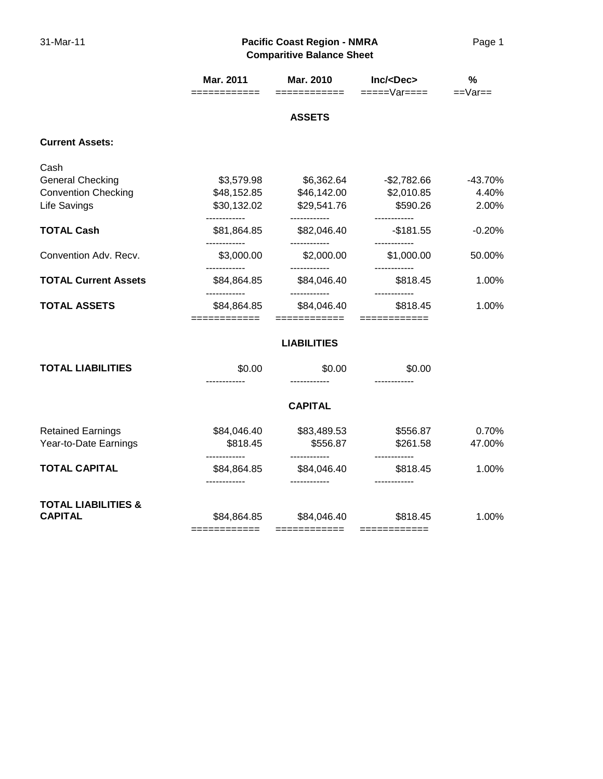### 31-Mar-11 **Pacific Coast Region - NMRA** Page 1 **Comparitive Balance Sheet**

|                                                  | Mar. 2011<br>==========                    | Mar. 2010<br>============                   | Inc/ <dec<br>=====Var====</dec<br> | %<br>$==Var ==$ |
|--------------------------------------------------|--------------------------------------------|---------------------------------------------|------------------------------------|-----------------|
|                                                  |                                            | <b>ASSETS</b>                               |                                    |                 |
| <b>Current Assets:</b>                           |                                            |                                             |                                    |                 |
| Cash                                             |                                            |                                             |                                    |                 |
| <b>General Checking</b>                          | \$3,579.98                                 | \$6,362.64                                  | $-$2,782.66$                       | $-43.70%$       |
| <b>Convention Checking</b>                       | \$48,152.85                                | \$46,142.00                                 | \$2,010.85                         | 4.40%           |
| Life Savings                                     | \$30,132.02                                | \$29,541.76                                 | \$590.26                           | 2.00%           |
| <b>TOTAL Cash</b>                                | -----------<br>\$81,864.85                 | ------------<br>\$82,046.40                 | $-$181.55$                         | $-0.20%$        |
| Convention Adv. Recv.                            | ------------<br>\$3,000.00                 | ------------<br>\$2,000.00                  | ------------<br>\$1,000.00         | 50.00%          |
| <b>TOTAL Current Assets</b>                      | ------------<br>\$84,864.85                | ------------<br>\$84,046.40                 | \$818.45                           | 1.00%           |
| <b>TOTAL ASSETS</b>                              | -----------<br>\$84,864.85<br>============ | ------------<br>\$84,046.40<br>============ | \$818.45<br>============           | 1.00%           |
|                                                  |                                            | <b>LIABILITIES</b>                          |                                    |                 |
| <b>TOTAL LIABILITIES</b>                         | \$0.00                                     | \$0.00                                      | \$0.00                             |                 |
|                                                  |                                            | <b>CAPITAL</b>                              |                                    |                 |
| <b>Retained Earnings</b>                         | \$84,046.40                                | \$83,489.53                                 | \$556.87                           | 0.70%           |
| Year-to-Date Earnings                            | \$818.45                                   | \$556.87                                    | \$261.58                           | 47.00%          |
| <b>TOTAL CAPITAL</b>                             | ------------<br>\$84,864.85                | ------------<br>\$84,046.40                 | \$818.45                           | 1.00%           |
| <b>TOTAL LIABILITIES &amp;</b><br><b>CAPITAL</b> | \$84,864.85<br>============                | \$84,046.40<br>============                 | \$818.45<br>============           | 1.00%           |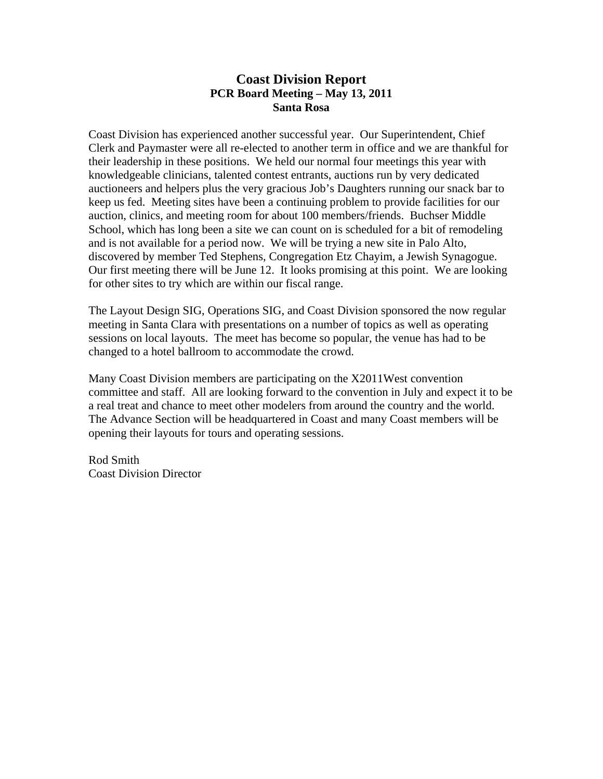### **Coast Division Report PCR Board Meeting – May 13, 2011 Santa Rosa**

Coast Division has experienced another successful year. Our Superintendent, Chief Clerk and Paymaster were all re-elected to another term in office and we are thankful for their leadership in these positions. We held our normal four meetings this year with knowledgeable clinicians, talented contest entrants, auctions run by very dedicated auctioneers and helpers plus the very gracious Job's Daughters running our snack bar to keep us fed. Meeting sites have been a continuing problem to provide facilities for our auction, clinics, and meeting room for about 100 members/friends. Buchser Middle School, which has long been a site we can count on is scheduled for a bit of remodeling and is not available for a period now. We will be trying a new site in Palo Alto, discovered by member Ted Stephens, Congregation Etz Chayim, a Jewish Synagogue. Our first meeting there will be June 12. It looks promising at this point. We are looking for other sites to try which are within our fiscal range.

The Layout Design SIG, Operations SIG, and Coast Division sponsored the now regular meeting in Santa Clara with presentations on a number of topics as well as operating sessions on local layouts. The meet has become so popular, the venue has had to be changed to a hotel ballroom to accommodate the crowd.

Many Coast Division members are participating on the X2011West convention committee and staff. All are looking forward to the convention in July and expect it to be a real treat and chance to meet other modelers from around the country and the world. The Advance Section will be headquartered in Coast and many Coast members will be opening their layouts for tours and operating sessions.

Rod Smith Coast Division Director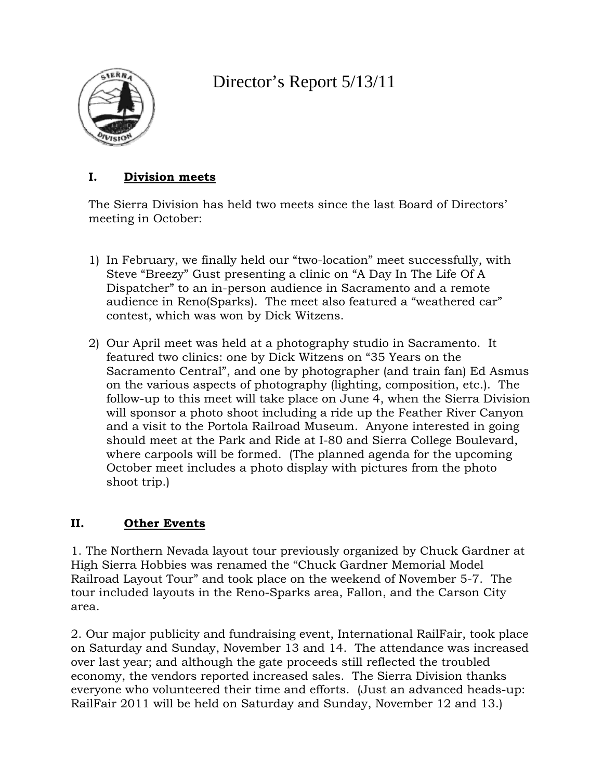

# Director's Report 5/13/11

# **I. Division meets**

The Sierra Division has held two meets since the last Board of Directors' meeting in October:

- 1) In February, we finally held our "two-location" meet successfully, with Steve "Breezy" Gust presenting a clinic on "A Day In The Life Of A Dispatcher" to an in-person audience in Sacramento and a remote audience in Reno(Sparks). The meet also featured a "weathered car" contest, which was won by Dick Witzens.
- 2) Our April meet was held at a photography studio in Sacramento. It featured two clinics: one by Dick Witzens on "35 Years on the Sacramento Central", and one by photographer (and train fan) Ed Asmus on the various aspects of photography (lighting, composition, etc.). The follow-up to this meet will take place on June 4, when the Sierra Division will sponsor a photo shoot including a ride up the Feather River Canyon and a visit to the Portola Railroad Museum. Anyone interested in going should meet at the Park and Ride at I-80 and Sierra College Boulevard, where carpools will be formed. (The planned agenda for the upcoming October meet includes a photo display with pictures from the photo shoot trip.)

# **II. Other Events**

1. The Northern Nevada layout tour previously organized by Chuck Gardner at High Sierra Hobbies was renamed the "Chuck Gardner Memorial Model Railroad Layout Tour" and took place on the weekend of November 5-7. The tour included layouts in the Reno-Sparks area, Fallon, and the Carson City area.

2. Our major publicity and fundraising event, International RailFair, took place on Saturday and Sunday, November 13 and 14. The attendance was increased over last year; and although the gate proceeds still reflected the troubled economy, the vendors reported increased sales. The Sierra Division thanks everyone who volunteered their time and efforts. (Just an advanced heads-up: RailFair 2011 will be held on Saturday and Sunday, November 12 and 13.)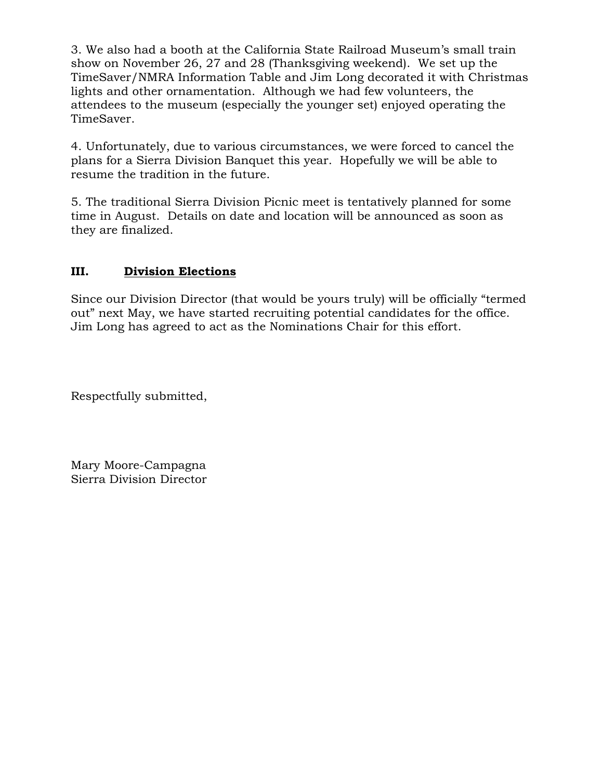3. We also had a booth at the California State Railroad Museum's small train show on November 26, 27 and 28 (Thanksgiving weekend). We set up the TimeSaver/NMRA Information Table and Jim Long decorated it with Christmas lights and other ornamentation. Although we had few volunteers, the attendees to the museum (especially the younger set) enjoyed operating the TimeSaver.

4. Unfortunately, due to various circumstances, we were forced to cancel the plans for a Sierra Division Banquet this year. Hopefully we will be able to resume the tradition in the future.

5. The traditional Sierra Division Picnic meet is tentatively planned for some time in August. Details on date and location will be announced as soon as they are finalized.

## **III. Division Elections**

Since our Division Director (that would be yours truly) will be officially "termed out" next May, we have started recruiting potential candidates for the office. Jim Long has agreed to act as the Nominations Chair for this effort.

Respectfully submitted,

Mary Moore-Campagna Sierra Division Director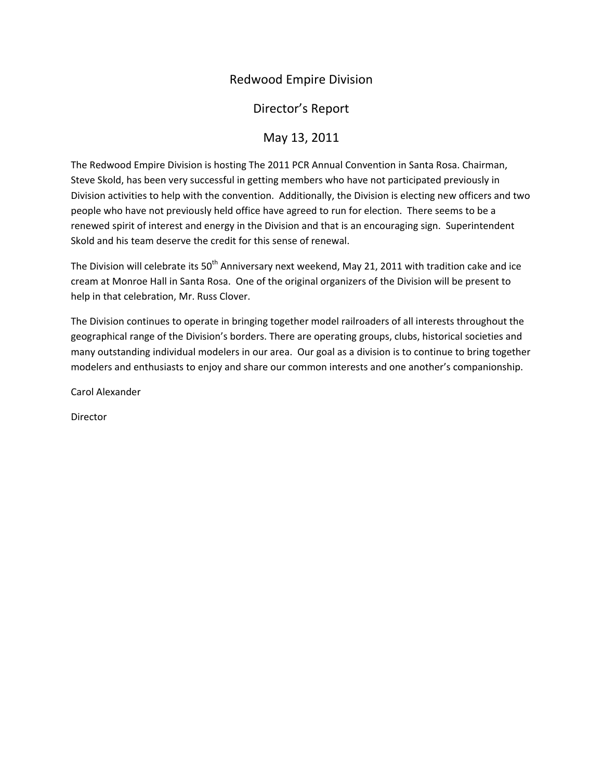# Redwood Empire Division

Director's Report

# May 13, 2011

The Redwood Empire Division is hosting The 2011 PCR Annual Convention in Santa Rosa. Chairman, Steve Skold, has been very successful in getting members who have not participated previously in Division activities to help with the convention. Additionally, the Division is electing new officers and two people who have not previously held office have agreed to run for election. There seems to be a renewed spirit of interest and energy in the Division and that is an encouraging sign. Superintendent Skold and his team deserve the credit for this sense of renewal.

The Division will celebrate its 50<sup>th</sup> Anniversary next weekend, May 21, 2011 with tradition cake and ice cream at Monroe Hall in Santa Rosa. One of the original organizers of the Division will be present to help in that celebration, Mr. Russ Clover.

The Division continues to operate in bringing together model railroaders of all interests throughout the geographical range of the Division's borders. There are operating groups, clubs, historical societies and many outstanding individual modelers in our area. Our goal as a division is to continue to bring together modelers and enthusiasts to enjoy and share our common interests and one another's companionship.

Carol Alexander

Director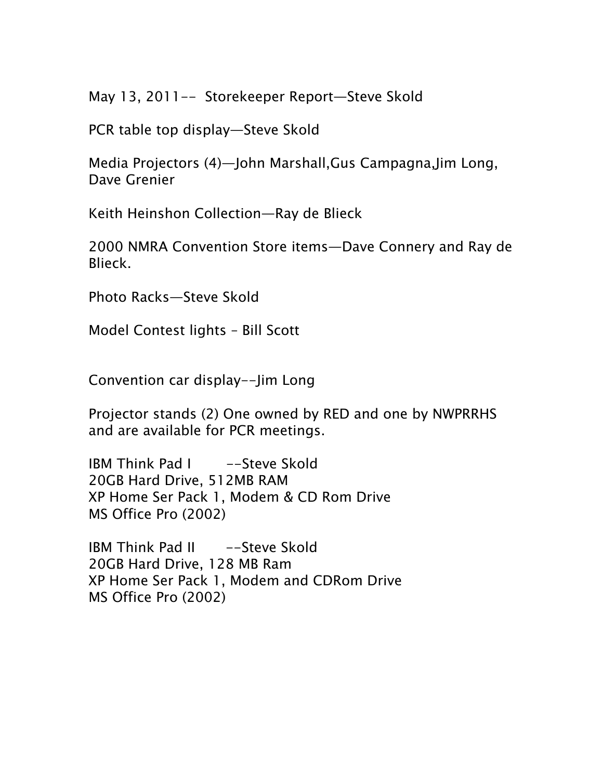May 13, 2011-- Storekeeper Report—Steve Skold

PCR table top display—Steve Skold

Media Projectors (4)—John Marshall,Gus Campagna,Jim Long, Dave Grenier

Keith Heinshon Collection—Ray de Blieck

2000 NMRA Convention Store items—Dave Connery and Ray de Blieck.

Photo Racks—Steve Skold

Model Contest lights – Bill Scott

Convention car display--Jim Long

Projector stands (2) One owned by RED and one by NWPRRHS and are available for PCR meetings.

IBM Think Pad I -Steve Skold 20GB Hard Drive, 512MB RAM XP Home Ser Pack 1, Modem & CD Rom Drive MS Office Pro (2002)

IBM Think Pad II -Steve Skold 20GB Hard Drive, 128 MB Ram XP Home Ser Pack 1, Modem and CDRom Drive MS Office Pro (2002)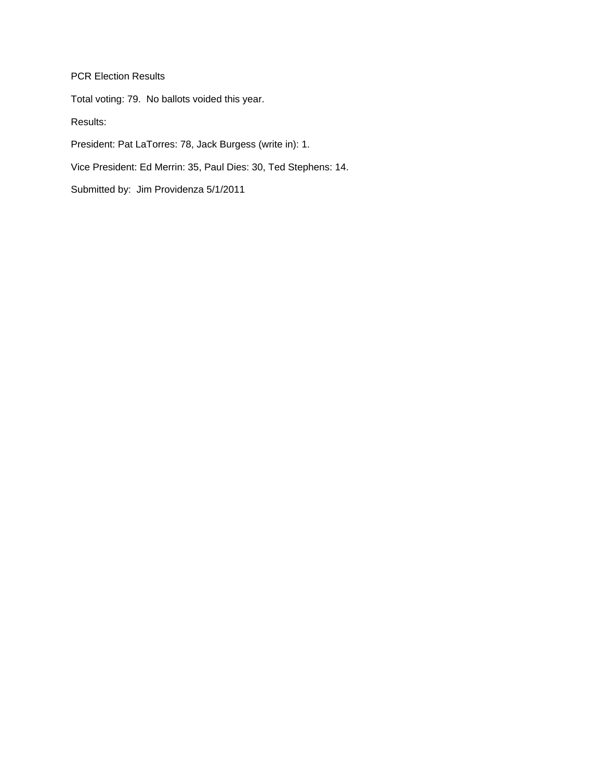PCR Election Results

Total voting: 79. No ballots voided this year.

Results:

President: Pat LaTorres: 78, Jack Burgess (write in): 1.

Vice President: Ed Merrin: 35, Paul Dies: 30, Ted Stephens: 14.

Submitted by: Jim Providenza 5/1/2011